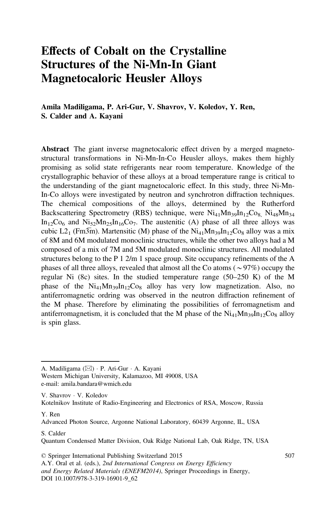# Effects of Cobalt on the Crystalline Structures of the Ni-Mn-In Giant Magnetocaloric Heusler Alloys

Amila Madiligama, P. Ari-Gur, V. Shavrov, V. Koledov, Y. Ren, S. Calder and A. Kayani

Abstract The giant inverse magnetocaloric effect driven by a merged magnetostructural transformations in Ni-Mn-In-Co Heusler alloys, makes them highly promising as solid state refrigerants near room temperature. Knowledge of the crystallographic behavior of these alloys at a broad temperature range is critical to the understanding of the giant magnetocaloric effect. In this study, three Ni-Mn-In-Co alloys were investigated by neutron and synchrotron diffraction techniques. The chemical compositions of the alloys, determined by the Rutherford Backscattering Spectrometry (RBS) technique, were  $Ni<sub>41</sub>Mn<sub>39</sub>In<sub>12</sub>Co<sub>8</sub> Ni<sub>48</sub>Mn<sub>34</sub>$  $In_{12}Co_6$  and  $Ni_{52}Mn_{25}In_{16}Co_7$ . The austenitic (A) phase of all three alloys was cubic L2<sub>1</sub> (Fm3 $\overline{m}$ ). Martensitic (M) phase of the Ni<sub>41</sub>Mn<sub>39</sub>In<sub>12</sub>Co<sub>8</sub> alloy was a mix of 8M and 6M modulated monoclinic structures, while the other two alloys had a M composed of a mix of 7M and 5M modulated monoclinic structures. All modulated structures belong to the P 1 2/m 1 space group. Site occupancy refinements of the A phases of all three alloys, revealed that almost all the Co atoms ( $\sim$ 97%) occupy the regular Ni  $(8c)$  sites. In the studied temperature range  $(50-250 \text{ K})$  of the M phase of the  $Ni_{41}Mn_{39}In_{12}Co_8$  alloy has very low magnetization. Also, no antiferromagnetic ordring was observed in the neutron diffraction refinement of the M phase. Therefore by eliminating the possibilities of ferromagnetism and antiferromagnetism, it is concluded that the M phase of the  $Ni_{41}Mn_{39}In_{12}Co_8$  alloy is spin glass.

A. Madiligama ( $\boxtimes$ ) · P. Ari-Gur · A. Kayani

Western Michigan University, Kalamazoo, MI 49008, USA e-mail: amila.bandara@wmich.edu

V. Shavrov · V. Koledov Kotelnikov Institute of Radio-Engineering and Electronics of RSA, Moscow, Russia

Y. Ren

Advanced Photon Source, Argonne National Laboratory, 60439 Argonne, IL, USA

S. Calder

Quantum Condensed Matter Division, Oak Ridge National Lab, Oak Ridge, TN, USA

© Springer International Publishing Switzerland 2015 A.Y. Oral et al. (eds.), 2nd International Congress on Energy Efficiency and Energy Related Materials (ENEFM2014), Springer Proceedings in Energy, DOI 10.1007/978-3-319-16901-9\_62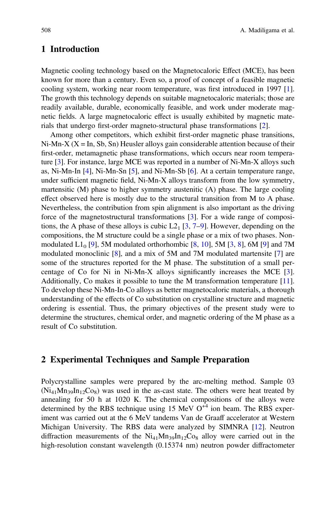## 1 Introduction

Magnetic cooling technology based on the Magnetocaloric Effect (MCE), has been known for more than a century. Even so, a proof of concept of a feasible magnetic cooling system, working near room temperature, was first introduced in 1997 [[1\]](#page-6-0). The growth this technology depends on suitable magnetocaloric materials; those are readily available, durable, economically feasible, and work under moderate magnetic fields. A large magnetocaloric effect is usually exhibited by magnetic materials that undergo first-order magneto-structural phase transformations [[2\]](#page-6-0).

Among other competitors, which exhibit first-order magnetic phase transitions,  $Ni-Mn-X (X = In, Sb, Sn)$  Heusler alloys gain considerable attention because of their first-order, metamagnetic phase transformations, which occurs near room temperature [[3\]](#page-6-0). For instance, large MCE was reported in a number of Ni-Mn-X alloys such as, Ni-Mn-In [[4\]](#page-6-0), Ni-Mn-Sn [[5\]](#page-6-0), and Ni-Mn-Sb [[6\]](#page-6-0). At a certain temperature range, under sufficient magnetic field, Ni-Mn-X alloys transform from the low symmetry, martensitic (M) phase to higher symmetry austenitic (A) phase. The large cooling effect observed here is mostly due to the structural transition from M to A phase. Nevertheless, the contribution from spin alignment is also important as the driving force of the magnetostructural transformations [[3\]](#page-6-0). For a wide range of compositions, the A phase of these alloys is cubic  $L2_1$  [[3,](#page-6-0) [7](#page-6-0)–[9](#page-6-0)]. However, depending on the compositions, the M structure could be a single phase or a mix of two phases. Non-modulated L1<sub>0</sub> [[9\]](#page-6-0), 5M modulated orthorhombic [[8,](#page-6-0) [10\]](#page-6-0), 5M [[3,](#page-6-0) [8\]](#page-6-0), 6M [9] and 7M modulated monoclinic [[8\]](#page-6-0), and a mix of 5M and 7M modulated martensite [\[7](#page-6-0)] are some of the structures reported for the M phase. The substitution of a small percentage of Co for Ni in Ni-Mn-X alloys significantly increases the MCE [[3\]](#page-6-0). Additionally, Co makes it possible to tune the M transformation temperature [[11\]](#page-6-0). To develop these Ni-Mn-In-Co alloys as better magnetocaloric materials, a thorough understanding of the effects of Co substitution on crystalline structure and magnetic ordering is essential. Thus, the primary objectives of the present study were to determine the structures, chemical order, and magnetic ordering of the M phase as a result of Co substitution.

#### 2 Experimental Techniques and Sample Preparation

Polycrystalline samples were prepared by the arc-melting method. Sample 03  $(Ni_{41}Mn_{39}In_{12}Co_8)$  was used in the as-cast state. The others were heat treated by annealing for 50 h at 1020 K. The chemical compositions of the alloys were determined by the RBS technique using 15 MeV  $O<sup>+4</sup>$  ion beam. The RBS experiment was carried out at the 6 MeV tandems Van de Graaff accelerator at Western Michigan University. The RBS data were analyzed by SIMNRA [[12\]](#page-6-0). Neutron diffraction measurements of the  $Ni_{41}Mn_{39}In_{12}Co_8$  alloy were carried out in the high-resolution constant wavelength (0.15374 nm) neutron powder diffractometer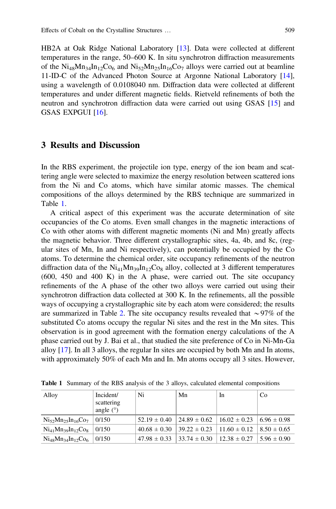HB2A at Oak Ridge National Laboratory [\[13](#page-7-0)]. Data were collected at different temperatures in the range, 50–600 K. In situ synchrotron diffraction measurements of the  $Ni_{48}Mn_{34}In_{12}Co_6$  and  $Ni_{52}Mn_{25}In_{16}Co_7$  alloys were carried out at beamline 11-ID-C of the Advanced Photon Source at Argonne National Laboratory [[14\]](#page-7-0), using a wavelength of 0.0108040 nm. Diffraction data were collected at different temperatures and under different magnetic fields. Rietveld refinements of both the neutron and synchrotron diffraction data were carried out using GSAS [[15\]](#page-7-0) and GSAS EXPGUI [\[16](#page-7-0)].

#### 3 Results and Discussion

In the RBS experiment, the projectile ion type, energy of the ion beam and scattering angle were selected to maximize the energy resolution between scattered ions from the Ni and Co atoms, which have similar atomic masses. The chemical compositions of the alloys determined by the RBS technique are summarized in Table 1.

A critical aspect of this experiment was the accurate determination of site occupancies of the Co atoms. Even small changes in the magnetic interactions of Co with other atoms with different magnetic moments (Ni and Mn) greatly affects the magnetic behavior. Three different crystallographic sites, 4a, 4b, and 8c, (regular sites of Mn, In and Ni respectively), can potentially be occupied by the Co atoms. To determine the chemical order, site occupancy refinements of the neutron diffraction data of the  $Ni_{41}Mn_{39}In_{12}Co_8$  alloy, collected at 3 different temperatures (600, 450 and 400 K) in the A phase, were carried out. The site occupancy refinements of the A phase of the other two alloys were carried out using their synchrotron diffraction data collected at 300 K. In the refinements, all the possible ways of occupying a crystallographic site by each atom were considered; the results are summarized in Table [2.](#page-3-0) The site occupancy results revealed that  $\sim$ 97% of the substituted Co atoms occupy the regular Ni sites and the rest in the Mn sites. This observation is in good agreement with the formation energy calculations of the A phase carried out by J. Bai et al., that studied the site preference of Co in Ni-Mn-Ga alloy  $[17]$  $[17]$ . In all 3 alloys, the regular In sites are occupied by both Mn and In atoms, with approximately 50% of each Mn and In. Mn atoms occupy all 3 sites. However,

| Alloy                         | Incident/<br>scattering<br>angle $(°)$ | Ni               | Mn               | In               | Co              |
|-------------------------------|----------------------------------------|------------------|------------------|------------------|-----------------|
| $Ni_{52}Mn_{25}In_{16}Co_{7}$ | 0/150                                  | $52.19 \pm 0.40$ | $24.89 \pm 0.62$ | $16.02 \pm 0.23$ | $6.96 \pm 0.98$ |
| $Ni41Mn39In12Co8$             | 0/150                                  | $40.68 \pm 0.30$ | $39.22 \pm 0.23$ | $11.60 \pm 0.12$ | $8.50 \pm 0.65$ |
| $Ni48Mn34In12Co6$             | 0/150                                  | $47.98 \pm 0.33$ | $33.74 \pm 0.30$ | $12.38 \pm 0.27$ | $5.96 \pm 0.90$ |

Table 1 Summary of the RBS analysis of the 3 alloys, calculated elemental compositions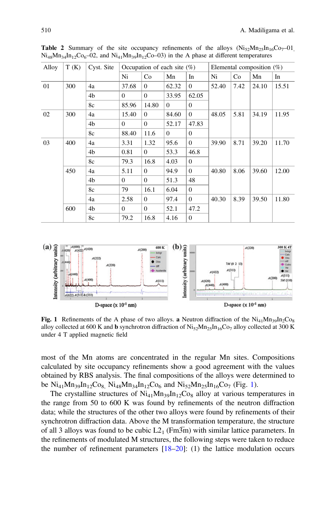| Alloy | T(K) | Cyst. Site | Occupation of each site $(\%)$ |                |          |                | Elemental composition $(\%)$ |      |       |       |
|-------|------|------------|--------------------------------|----------------|----------|----------------|------------------------------|------|-------|-------|
|       |      |            | Ni                             | Co             | Mn       | In             | Ni                           | Co   | Mn    | In    |
| 01    | 300  | 4a         | 37.68                          | $\Omega$       | 62.32    | $\Omega$       | 52.40                        | 7.42 | 24.10 | 15.51 |
|       |      | 4b         | $\Omega$                       | $\overline{0}$ | 33.95    | 62.05          |                              |      |       |       |
|       |      | 8c         | 85.96                          | 14.80          | $\Omega$ | $\mathbf{0}$   |                              |      |       |       |
| 02    | 300  | 4a         | 15.40                          | $\Omega$       | 84.60    | $\overline{0}$ | 48.05                        | 5.81 | 34.19 | 11.95 |
|       |      | 4b         | $\Omega$                       | $\Omega$       | 52.17    | 47.83          |                              |      |       |       |
|       |      | 8c         | 88.40                          | 11.6           | $\Omega$ | $\mathbf{0}$   |                              |      |       |       |
| 03    | 400  | 4a         | 3.31                           | 1.32           | 95.6     | $\mathbf{0}$   | 39.90                        | 8.71 | 39.20 | 11.70 |
|       |      | 4b         | 0.81                           | $\Omega$       | 53.3     | 46.8           |                              |      |       |       |
|       |      | 8c         | 79.3                           | 16.8           | 4.03     | $\overline{0}$ |                              |      |       |       |
|       | 450  | 4a         | 5.11                           | $\Omega$       | 94.9     | $\mathbf{0}$   | 40.80                        | 8.06 | 39.60 | 12.00 |
|       |      | 4b         | $\Omega$                       | $\Omega$       | 51.3     | 48             |                              |      |       |       |
|       |      | 8c         | 79                             | 16.1           | 6.04     | $\overline{0}$ |                              |      |       |       |
|       |      | 4a         | 2.58                           | $\Omega$       | 97.4     | $\overline{0}$ | 40.30                        | 8.39 | 39.50 | 11.80 |
|       | 600  | 4b         | $\Omega$                       | $\Omega$       | 52.1     | 47.2           |                              |      |       |       |
|       |      | 8c         | 79.2                           | 16.8           | 4.16     | $\overline{0}$ |                              |      |       |       |

<span id="page-3-0"></span>**Table 2** Summary of the site occupancy refinements of the alloys  $(Nis_2Mn_2sIn_16Co_7-01)$  $Ni_{48}Mn_{34}In_{12}Co_6-02$ , and  $Ni_{41}Mn_{39}In_{12}Co-03$ ) in the A phase at different temperatures



Fig. 1 Refinements of the A phase of two alloys. a Neutron diffraction of the  $Ni_{41}Mn_{39}In_{2}Co_{8}$ alloy collected at 600 K and **b** synchrotron diffraction of  $Ni_{52}Mn_{25}In_{16}Co_7$  alloy collected at 300 K under 4 T applied magnetic field

most of the Mn atoms are concentrated in the regular Mn sites. Compositions calculated by site occupancy refinements show a good agreement with the values obtained by RBS analysis. The final compositions of the alloys were determined to be  $Ni_{41}Mn_{39}In_{12}Co_8$ ,  $Ni_{48}Mn_{34}In_{12}Co_6$  and  $Ni_{52}Mn_{25}In_{16}Co_7$  (Fig. 1).

The crystalline structures of  $Ni_{41}Mn_{39}In_{12}Co_8$  alloy at various temperatures in the range from 50 to 600 K was found by refinements of the neutron diffraction data; while the structures of the other two alloys were found by refinements of their synchrotron diffraction data. Above the M transformation temperature, the structure of all 3 alloys was found to be cubic  $L2_1$  (Fm3 $\overline{m}$ ) with similar lattice parameters. In the refinements of modulated M structures, the following steps were taken to reduce the number of refinement parameters  $[18–20]$  $[18–20]$  $[18–20]$  $[18–20]$ : (1) the lattice modulation occurs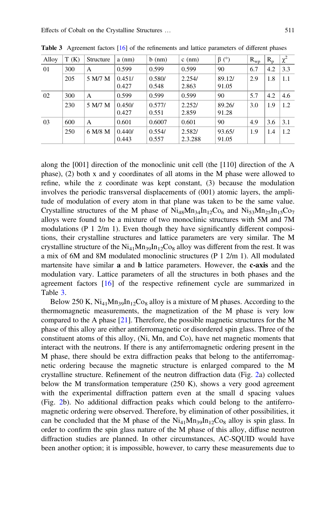| Alloy | T(K) | Structure | $a$ (nm)        | $b$ (nm)        | $c$ (nm)          | $\beta$ (°)     | $R_{WD}$ | $R_{p}$ | $\chi^2$ |
|-------|------|-----------|-----------------|-----------------|-------------------|-----------------|----------|---------|----------|
| 01    | 300  | A         | 0.599           | 0.599           | 0.599             | 90              | 6.7      | 4.2     | 3.3      |
|       | 205  | 5 M/7 M   | 0.451/<br>0.427 | 0.580/<br>0.548 | 2.254/<br>2.863   | 89.12/<br>91.05 | 2.9      | 1.8     | 1.1      |
| 02    | 300  | A         | 0.599           | 0.599           | 0.599             | 90              | 5.7      | 4.2     | 4.6      |
|       | 230  | 5 M/7 M   | 0.450/<br>0.427 | 0.577/<br>0.551 | 2.252/<br>2.859   | 89.26/<br>91.28 | 3.0      | 1.9     | 1.2      |
| 03    | 600  | A         | 0.601           | 0.6007          | 0.601             | 90              | 4.9      | 3.6     | 3.1      |
|       | 250  | 6 M/8 M   | 0.440/<br>0.443 | 0.554/<br>0.557 | 2.582/<br>2.3.288 | 93.65/<br>91.05 | 1.9      | 1.4     | 1.2      |

Table 3 Agreement factors [[16](#page-7-0)] of the refinements and lattice parameters of different phases

along the [001] direction of the monoclinic unit cell (the [110] direction of the A phase), (2) both x and y coordinates of all atoms in the M phase were allowed to refine, while the z coordinate was kept constant, (3) because the modulation involves the periodic transversal displacements of (001) atomic layers, the amplitude of modulation of every atom in that plane was taken to be the same value. Crystalline structures of the M phase of  $Ni_{48}Mn_{34}In_{12}Co_6$  and  $Ni_{53}Mn_{25}In_{15}Co_7$ alloys were found to be a mixture of two monoclinic structures with 5M and 7M modulations (P  $1 \frac{2}{m}$  1). Even though they have significantly different compositions, their crystalline structures and lattice parameters are very similar. The M crystalline structure of the  $Ni_{41}Mn_{39}In_{12}Co_8$  alloy was different from the rest. It was a mix of 6M and 8M modulated monoclinic structures (P 1 2/m 1). All modulated martensite have similar **a** and **b** lattice parameters. However, the **c-axis** and the modulation vary. Lattice parameters of all the structures in both phases and the agreement factors [\[16](#page-7-0)] of the respective refinement cycle are summarized in Table 3.

Below 250 K,  $Ni_{41}Mn_{39}In_{12}Co_8$  alloy is a mixture of M phases. According to the thermomagnetic measurements, the magnetization of the M phase is very low compared to the A phase [[21\]](#page-7-0). Therefore, the possible magnetic structures for the M phase of this alloy are either antiferromagnetic or disordered spin glass. Three of the constituent atoms of this alloy, (Ni, Mn, and Co), have net magnetic moments that interact with the neutrons. If there is any antiferromagnetic ordering present in the M phase, there should be extra diffraction peaks that belong to the antiferromagnetic ordering because the magnetic structure is enlarged compared to the M crystalline structure. Refinement of the neutron diffraction data (Fig. [2](#page-5-0)a) collected below the M transformation temperature  $(250 \text{ K})$ , shows a very good agreement with the experimental diffraction pattern even at the small d spacing values (Fig. [2](#page-5-0)b). No additional diffraction peaks which could belong to the antiferromagnetic ordering were observed. Therefore, by elimination of other possibilities, it can be concluded that the M phase of the  $Ni_{41}Mn_{39}In_{12}Co_8$  alloy is spin glass. In order to confirm the spin glass nature of the M phase of this alloy, diffuse neutron diffraction studies are planned. In other circumstances, AC-SQUID would have been another option; it is impossible, however, to carry these measurements due to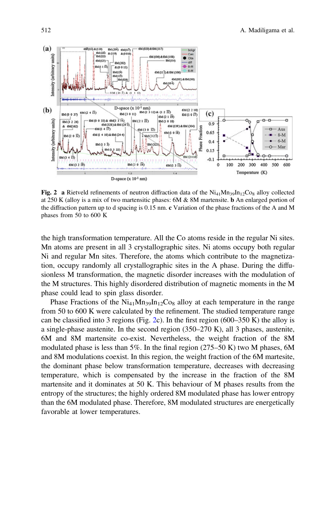<span id="page-5-0"></span>

Fig. 2 a Rietveld refinements of neutron diffraction data of the  $\text{Ni}_{41}\text{Mn}_{39}\text{In}_{12}\text{Co}_{8}$  alloy collected at 250 K (alloy is a mix of two martensitic phases: 6M & 8M martensite. b An enlarged portion of the diffraction pattern up to d spacing is 0.15 nm. c Variation of the phase fractions of the A and M phases from 50 to 600 K

the high transformation temperature. All the Co atoms reside in the regular Ni sites. Mn atoms are present in all 3 crystallographic sites. Ni atoms occupy both regular Ni and regular Mn sites. Therefore, the atoms which contribute to the magnetization, occupy randomly all crystallographic sites in the A phase. During the diffusionless M transformation, the magnetic disorder increases with the modulation of the M structures. This highly disordered distribution of magnetic moments in the M phase could lead to spin glass disorder.

Phase Fractions of the  $Ni_{41}Mn_{39}In_{12}Co_8$  alloy at each temperature in the range from 50 to 600 K were calculated by the refinement. The studied temperature range can be classified into 3 regions (Fig. 2c). In the first region (600–350 K) the alloy is a single-phase austenite. In the second region (350–270 K), all 3 phases, austenite, 6M and 8M martensite co-exist. Nevertheless, the weight fraction of the 8M modulated phase is less than 5%. In the final region  $(275–50 \text{ K})$  two M phases, 6M and 8M modulations coexist. In this region, the weight fraction of the 6M martesite, the dominant phase below transformation temperature, decreases with decreasing temperature, which is compensated by the increase in the fraction of the 8M martensite and it dominates at 50 K. This behaviour of M phases results from the entropy of the structures; the highly ordered 8M modulated phase has lower entropy than the 6M modulated phase. Therefore, 8M modulated structures are energetically favorable at lower temperatures.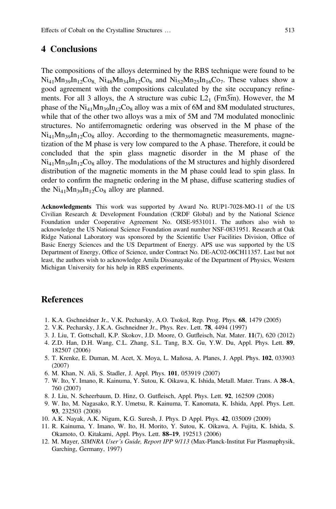#### <span id="page-6-0"></span>4 Conclusions

The compositions of the alloys determined by the RBS technique were found to be  $Ni_{41}Mn_{39}In_{12}Co_8$   $Ni_{48}Mn_{34}In_{12}Co_6$  and  $Ni_{52}Mn_{25}In_{16}Co_7$ . These values show a good agreement with the compositions calculated by the site occupancy refinements. For all 3 alloys, the A structure was cubic  $L2_1$  (Fm3 $\overline{m}$ ). However, the M phase of the  $Ni_{41}Mn_{39}In_{12}Co_8$  alloy was a mix of 6M and 8M modulated structures, while that of the other two alloys was a mix of 5M and 7M modulated monoclinic structures. No antiferromagnetic ordering was observed in the M phase of the  $Ni_{41}Mn_{39}In_{12}Co_8$  alloy. According to the thermomagnetic measurements, magnetization of the M phase is very low compared to the A phase. Therefore, it could be concluded that the spin glass magnetic disorder in the M phase of the  $Ni_{41}Mn_{39}In_{12}Co_8$  alloy. The modulations of the M structures and highly disordered distribution of the magnetic moments in the M phase could lead to spin glass. In order to confirm the magnetic ordering in the M phase, diffuse scattering studies of the  $Ni_{41}Mn_{39}In_{12}Co_8$  alloy are planned.

Acknowledgments This work was supported by Award No. RUP1-7028-MO-11 of the US Civilian Research & Development Foundation (CRDF Global) and by the National Science Foundation under Cooperative Agreement No. OISE-9531011. The authors also wish to acknowledge the US National Science Foundation award number NSF-0831951. Research at Oak Ridge National Laboratory was sponsored by the Scientific User Facilities Division, Office of Basic Energy Sciences and the US Department of Energy. APS use was supported by the US Department of Energy, Office of Science, under Contract No. DE-AC02-06CH11357. Last but not least, the authors wish to acknowledge Amila Dissanayake of the Department of Physics, Western Michigan University for his help in RBS experiments.

### **References**

- 1. K.A. Gschneidner Jr., V.K. Pecharsky, A.O. Tsokol, Rep. Prog. Phys. 68, 1479 (2005)
- 2. V.K. Pecharsky, J.K.A. Gschneidner Jr., Phys. Rev. Lett. 78, 4494 (1997)
- 3. J. Liu, T. Gottschall, K.P. Skokov, J.D. Moore, O. Gutfleisch, Nat. Mater. 11(7), 620 (2012)
- 4. Z.D. Han, D.H. Wang, C.L. Zhang, S.L. Tang, B.X. Gu, Y.W. Du, Appl. Phys. Lett. 89, 182507 (2006)
- 5. T. Krenke, E. Duman, M. Acet, X. Moya, L. Mañosa, A. Planes, J. Appl. Phys. 102, 033903 (2007)
- 6. M. Khan, N. Ali, S. Stadler, J. Appl. Phys. 101, 053919 (2007)
- 7. W. Ito, Y. Imano, R. Kainuma, Y. Sutou, K. Oikawa, K. Ishida, Metall. Mater. Trans. A 38-A, 760 (2007)
- 8. J. Liu, N. Scheerbaum, D. Hinz, O. Gutfleisch, Appl. Phys. Lett. 92, 162509 (2008)
- 9. W. Ito, M. Nagasako, R.Y. Umetsu, R. Kainuma, T. Kanomata, K. Ishida, Appl. Phys. Lett. 93, 232503 (2008)
- 10. A.K. Nayak, A.K. Nigum, K.G. Suresh, J. Phys. D Appl. Phys. 42, 035009 (2009)
- 11. R. Kainuma, Y. Imano, W. Ito, H. Morito, Y. Sutou, K. Oikawa, A. Fujita, K. Ishida, S. Okamoto, O. Kitakami, Appl. Phys. Lett. 88–19, 192513 (2006)
- 12. M. Mayer, SIMNRA User's Guide, Report IPP 9/113 (Max-Planck-Institut Fur Plasmaphysik, Garching, Germany, 1997)